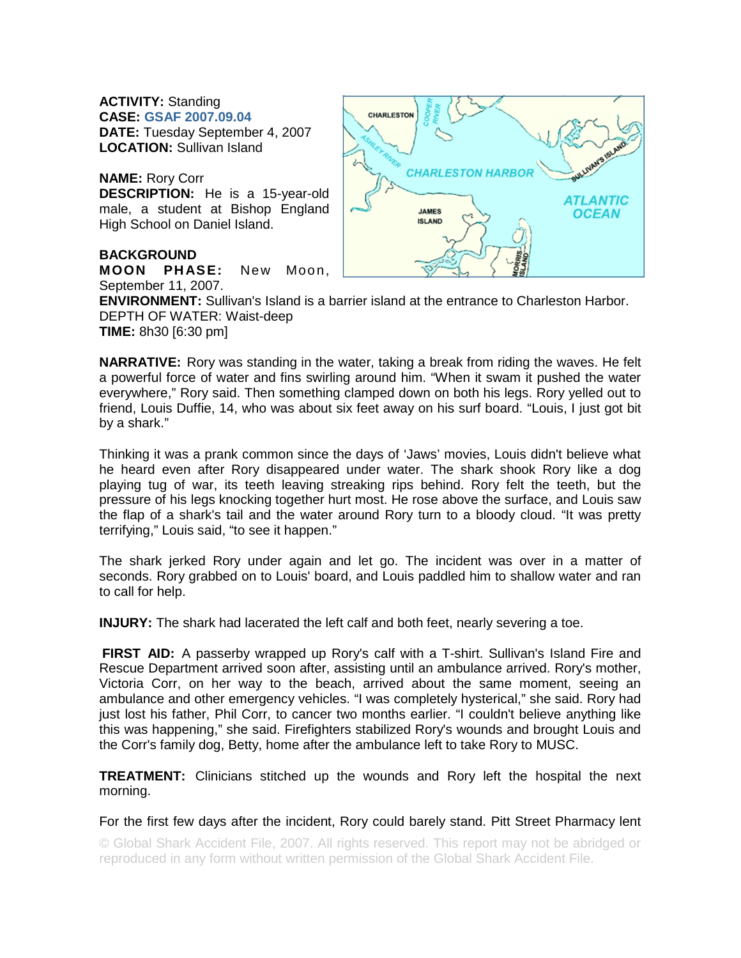**ACTIVITY:** Standing **CASE: GSAF 2007.09.04 DATE:** Tuesday September 4, 2007 **LOCATION:** Sullivan Island

**NAME:** Rory Corr **DESCRIPTION:** He is a 15-year-old male, a student at Bishop England High School on Daniel Island.

## **BACKGROUND**

**MOON PHASE:** New Moon, September 11, 2007.



**ENVIRONMENT:** Sullivan's Island is a barrier island at the entrance to Charleston Harbor. DEPTH OF WATER: Waist-deep **TIME:** 8h30 [6:30 pm]

**NARRATIVE:** Rory was standing in the water, taking a break from riding the waves. He felt a powerful force of water and fins swirling around him. "When it swam it pushed the water everywhere," Rory said. Then something clamped down on both his legs. Rory yelled out to friend, Louis Duffie, 14, who was about six feet away on his surf board. "Louis, I just got bit by a shark."

Thinking it was a prank common since the days of 'Jaws' movies, Louis didn't believe what he heard even after Rory disappeared under water. The shark shook Rory like a dog playing tug of war, its teeth leaving streaking rips behind. Rory felt the teeth, but the pressure of his legs knocking together hurt most. He rose above the surface, and Louis saw the flap of a shark's tail and the water around Rory turn to a bloody cloud. "It was pretty terrifying," Louis said, "to see it happen."

The shark jerked Rory under again and let go. The incident was over in a matter of seconds. Rory grabbed on to Louis' board, and Louis paddled him to shallow water and ran to call for help.

**INJURY:** The shark had lacerated the left calf and both feet, nearly severing a toe.

**FIRST AID:** A passerby wrapped up Rory's calf with a T-shirt. Sullivan's Island Fire and Rescue Department arrived soon after, assisting until an ambulance arrived. Rory's mother, Victoria Corr, on her way to the beach, arrived about the same moment, seeing an ambulance and other emergency vehicles. "I was completely hysterical," she said. Rory had just lost his father, Phil Corr, to cancer two months earlier. "I couldn't believe anything like this was happening," she said. Firefighters stabilized Rory's wounds and brought Louis and the Corr's family dog, Betty, home after the ambulance left to take Rory to MUSC.

**TREATMENT:** Clinicians stitched up the wounds and Rory left the hospital the next morning.

For the first few days after the incident, Rory could barely stand. Pitt Street Pharmacy lent

© Global Shark Accident File, 2007. All rights reserved. This report may not be abridged or reproduced in any form without written permission of the Global Shark Accident File.